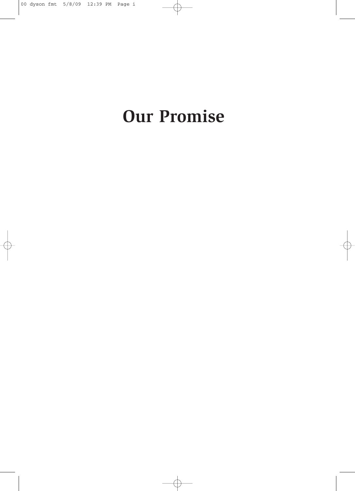# **Our Promise**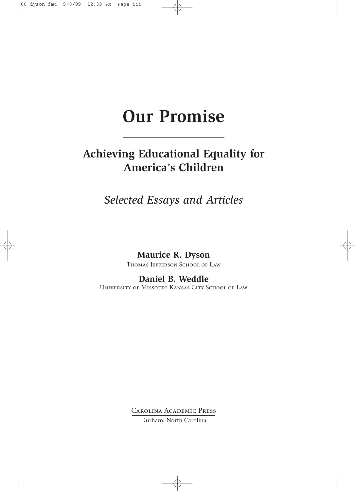## **Our Promise**

### **Achieving Educational Equality for America's Children**

*Selected Essays and Articles*

#### **Maurice R. Dyson**

Thomas Jefferson School of Law

#### **Daniel B. Weddle**

University of Missouri-Kansas City School of Law

Carolina Academic Press Durham, North Carolina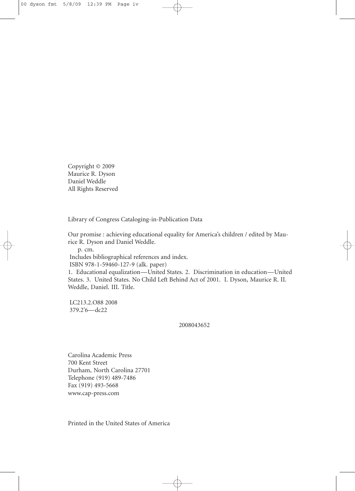Copyright © 2009 Maurice R. Dyson Daniel Weddle All Rights Reserved

Library of Congress Cataloging-in-Publication Data

Our promise : achieving educational equality for America's children / edited by Maurice R. Dyson and Daniel Weddle.

p. cm. Includes bibliographical references and index. ISBN 978-1-59460-127-9 (alk. paper)

1. Educational equalization—United States. 2. Discrimination in education—United States. 3. United States. No Child Left Behind Act of 2001. I. Dyson, Maurice R. II. Weddle, Daniel. III. Title.

LC213.2.O88 2008 379.2'6—dc22

2008043652

Carolina Academic Press 700 Kent Street Durham, North Carolina 27701 Telephone (919) 489-7486 Fax (919) 493-5668 www.cap-press.com

Printed in the United States of America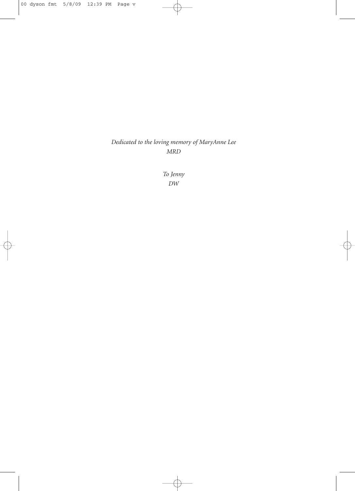*Dedicated to the loving memory of MaryAnne Lee MRD*

> *To Jenny DW*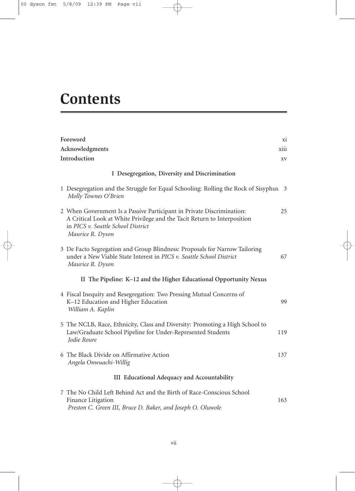## **Contents**

| Foreword<br>Acknowledgments<br>Introduction                                                                                                                                                                 | xi<br>xiii<br>XV |  |  |
|-------------------------------------------------------------------------------------------------------------------------------------------------------------------------------------------------------------|------------------|--|--|
| I Desegregation, Diversity and Discrimination                                                                                                                                                               |                  |  |  |
| 1 Desegregation and the Struggle for Equal Schooling: Rolling the Rock of Sisyphus<br>Molly Townes O'Brien                                                                                                  | $\overline{3}$   |  |  |
| 2 When Government Is a Passive Participant in Private Discrimination:<br>A Critical Look at White Privilege and the Tacit Return to Interposition<br>in PICS v. Seattle School District<br>Maurice R. Dyson | 25               |  |  |
| 3 De Facto Segregation and Group Blindness: Proposals for Narrow Tailoring<br>under a New Viable State Interest in PICS v. Seattle School District<br>Maurice R. Dyson                                      | 67               |  |  |
| II The Pipeline: K-12 and the Higher Educational Opportunity Nexus                                                                                                                                          |                  |  |  |
| 4 Fiscal Inequity and Resegregation: Two Pressing Mutual Concerns of<br>K-12 Education and Higher Education<br>William A. Kaplin                                                                            | 99               |  |  |
| 5 The NCLB, Race, Ethnicity, Class and Diversity: Promoting a High School to<br>Law/Graduate School Pipeline for Under-Represented Students<br>Jodie Roure                                                  | 119              |  |  |
| 6 The Black Divide on Affirmative Action<br>Angela Onwuachi-Willig                                                                                                                                          | 137              |  |  |
| III Educational Adequacy and Accountability                                                                                                                                                                 |                  |  |  |
| 7 The No Child Left Behind Act and the Birth of Race-Conscious School<br>Finance Litigation<br>Preston C. Green III, Bruce D. Baker, and Joseph O. Oluwole                                                  | 163              |  |  |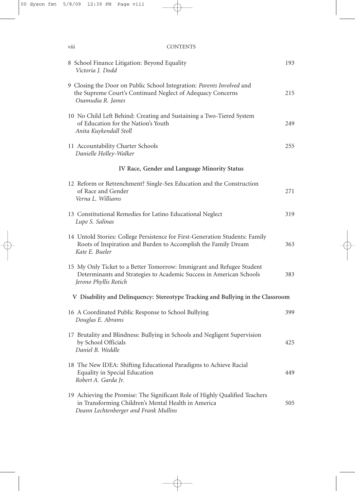| viii                                                                                                                                                                        | <b>CONTENTS</b> |  |  |  |
|-----------------------------------------------------------------------------------------------------------------------------------------------------------------------------|-----------------|--|--|--|
| 8 School Finance Litigation: Beyond Equality<br>Victoria J. Dodd                                                                                                            | 193             |  |  |  |
| 9 Closing the Door on Public School Integration: Parents Involved and<br>the Supreme Court's Continued Neglect of Adequacy Concerns<br>Osamudia R. James                    | 215             |  |  |  |
| 10 No Child Left Behind: Creating and Sustaining a Two-Tiered System<br>of Education for the Nation's Youth<br>Anita Kuykendall Stoll                                       | 249             |  |  |  |
| 11 Accountability Charter Schools<br>Danielle Holley-Walker                                                                                                                 | 255             |  |  |  |
| IV Race, Gender and Language Minority Status                                                                                                                                |                 |  |  |  |
| 12 Reform or Retrenchment? Single-Sex Education and the Construction<br>of Race and Gender<br>Verna L. Williams                                                             | 271             |  |  |  |
| 13 Constitutional Remedies for Latino Educational Neglect<br>Lupe S. Salinas                                                                                                | 319             |  |  |  |
| 14 Untold Stories: College Persistence for First-Generation Students: Family<br>Roots of Inspiration and Burden to Accomplish the Family Dream<br>Kate E. Bueler            | 363             |  |  |  |
| 15 My Only Ticket to a Better Tomorrow: Immigrant and Refugee Student<br>Determinants and Strategies to Academic Success in American Schools<br>Jerono Phyllis Rotich       | 383             |  |  |  |
| V Disability and Delinquency: Stereotype Tracking and Bullying in the Classroom                                                                                             |                 |  |  |  |
| 16 A Coordinated Public Response to School Bullying<br>Douglas E. Abrams                                                                                                    | 399             |  |  |  |
| 17 Brutality and Blindness: Bullying in Schools and Negligent Supervision<br>by School Officials<br>Daniel B. Weddle                                                        | 425             |  |  |  |
| 18 The New IDEA: Shifting Educational Paradigms to Achieve Racial<br>Equality in Special Education<br>Robert A. Garda Jr.                                                   | 449             |  |  |  |
| 19 Achieving the Promise: The Significant Role of Highly Qualified Teachers<br>in Transforming Children's Mental Health in America<br>Deann Lechtenberger and Frank Mullins | 505             |  |  |  |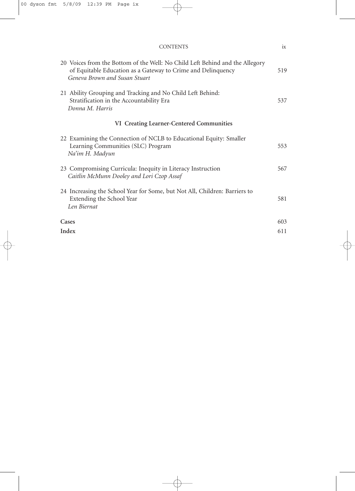| <b>CONTENTS</b>                                                                                                                                                               | ix  |  |  |  |
|-------------------------------------------------------------------------------------------------------------------------------------------------------------------------------|-----|--|--|--|
| 20 Voices from the Bottom of the Well: No Child Left Behind and the Allegory<br>of Equitable Education as a Gateway to Crime and Delinquency<br>Geneva Brown and Susan Stuart | 519 |  |  |  |
| 21 Ability Grouping and Tracking and No Child Left Behind:<br>Stratification in the Accountability Era<br>Donna M. Harris                                                     | 537 |  |  |  |
| VI Creating Learner-Centered Communities                                                                                                                                      |     |  |  |  |
| 22 Examining the Connection of NCLB to Educational Equity: Smaller<br>Learning Communities (SLC) Program<br>Na'im H. Madyun                                                   | 553 |  |  |  |
| 23 Compromising Curricula: Inequity in Literacy Instruction<br>Caitlin McMunn Dooley and Lori Czop Assaf                                                                      | 567 |  |  |  |
| 24 Increasing the School Year for Some, but Not All, Children: Barriers to<br>Extending the School Year<br>Len Biernat                                                        | 581 |  |  |  |
| Cases                                                                                                                                                                         |     |  |  |  |
| Index                                                                                                                                                                         |     |  |  |  |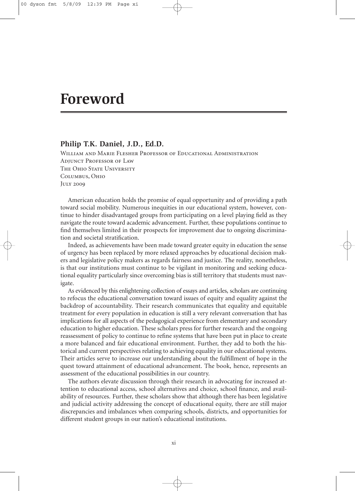### **Foreword**

#### **Philip T.K. Daniel, J.D., Ed.D.**

WILLIAM AND MARIE FLESHER PROFESSOR OF EDUCATIONAL ADMINISTRATION ADJUNCT PROFESSOR OF LAW The Ohio State University Columbus, Ohio July 2009

American education holds the promise of equal opportunity and of providing a path toward social mobility. Numerous inequities in our educational system, however, continue to hinder disadvantaged groups from participating on a level playing field as they navigate the route toward academic advancement. Further, these populations continue to find themselves limited in their prospects for improvement due to ongoing discrimination and societal stratification.

Indeed, as achievements have been made toward greater equity in education the sense of urgency has been replaced by more relaxed approaches by educational decision makers and legislative policy makers as regards fairness and justice. The reality, nonetheless, is that our institutions must continue to be vigilant in monitoring and seeking educational equality particularly since overcoming bias is still territory that students must navigate.

As evidenced by this enlightening collection of essays and articles, scholars are continuing to refocus the educational conversation toward issues of equity and equality against the backdrop of accountability. Their research communicates that equality and equitable treatment for every population in education is still a very relevant conversation that has implications for all aspects of the pedagogical experience from elementary and secondary education to higher education. These scholars press for further research and the ongoing reassessment of policy to continue to refine systems that have been put in place to create a more balanced and fair educational environment. Further, they add to both the historical and current perspectives relating to achieving equality in our educational systems. Their articles serve to increase our understanding about the fulfillment of hope in the quest toward attainment of educational advancement. The book, hence, represents an assessment of the educational possibilities in our country.

The authors elevate discussion through their research in advocating for increased attention to educational access, school alternatives and choice, school finance, and availability of resources. Further, these scholars show that although there has been legislative and judicial activity addressing the concept of educational equity, there are still major discrepancies and imbalances when comparing schools, districts, and opportunities for different student groups in our nation's educational institutions.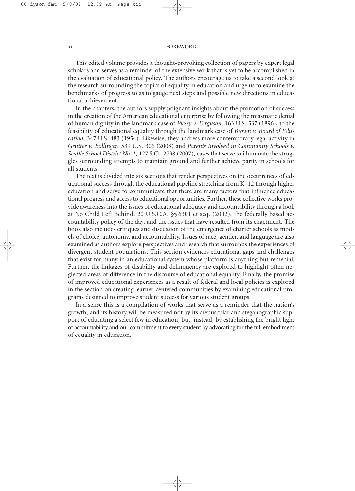#### xii FOREWORD

This edited volume provides a thought-provoking collection of papers by expert legal scholars and serves as a reminder of the extensive work that is yet to be accomplished in the evaluation of educational policy. The authors encourage us to take a second look at the research surrounding the topics of equality in education and urge us to examine the benchmarks of progress so as to gauge next steps and possible new directions in educational achievement.

In the chapters, the authors supply poignant insights about the promotion of success in the creation of the American educational enterprise by following the miasmatic denial of human dignity in the landmark case of *Plessy v. Ferguson*, 163 U.S. 537 (1896), to the feasibility of educational equality through the landmark case of *Brown v. Board of Education*, 347 U.S. 483 (1954). Likewise, they address more contemporary legal activity in *Grutter v. Bollinger*, 539 U.S. 306 (2003) and *Parents Involved in Community Schools v. Seattle School District No. 1*, 127 S.Ct. 2738 (2007), cases that serve to illuminate the struggles surrounding attempts to maintain ground and further achieve parity in schools for all students.

The text is divided into six sections that render perspectives on the occurrences of educational success through the educational pipeline stretching from K–12 through higher education and serve to communicate that there are many factors that influence educational progress and access to educational opportunities. Further, these collective works provide awareness into the issues of educational adequacy and accountability through a look at No Child Left Behind, 20 U.S.C.A. §§ 6301 et seq. (2002), the federally based accountability policy of the day, and the issues that have resulted from its enactment. The book also includes critiques and discussion of the emergence of charter schools as models of choice, autonomy, and accountability. Issues of race, gender, and language are also examined as authors explore perspectives and research that surrounds the experiences of divergent student populations. This section evidences educational gaps and challenges that exist for many in an educational system whose platform is anything but remedial. Further, the linkages of disability and delinquency are explored to highlight often neglected areas of difference in the discourse of educational equality. Finally, the promise of improved educational experiences as a result of federal and local policies is explored in the section on creating learner-centered communities by examining educational programs designed to improve student success for various student groups.

In a sense this is a compilation of works that serve as a reminder that the nation's growth, and its history will be measured not by its crepuscular and steganographic support of educating a select few in education, but, instead, by establishing the bright light of accountability and our commitment to every student by advocating for the full embodiment of equality in education.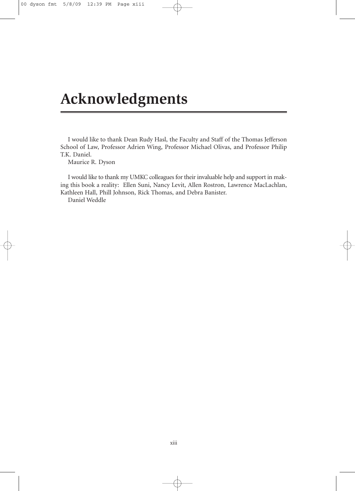### **Acknowledgments**

I would like to thank Dean Rudy Hasl, the Faculty and Staff of the Thomas Jefferson School of Law, Professor Adrien Wing, Professor Michael Olivas, and Professor Philip T.K. Daniel.

Maurice R. Dyson

I would like to thank my UMKC colleagues for their invaluable help and support in making this book a reality: Ellen Suni, Nancy Levit, Allen Rostron, Lawrence MacLachlan, Kathleen Hall, Phill Johnson, Rick Thomas, and Debra Banister.

Daniel Weddle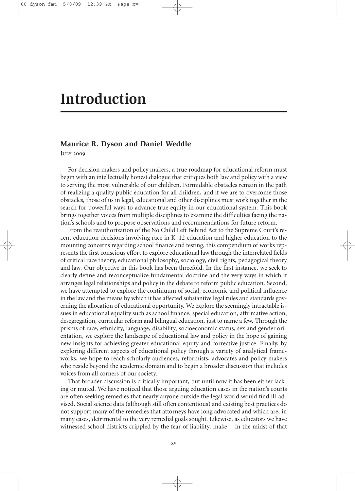### **Introduction**

#### **Maurice R. Dyson and Daniel Weddle**

**JULY 2009** 

For decision makers and policy makers, a true roadmap for educational reform must begin with an intellectually honest dialogue that critiques both law and policy with a view to serving the most vulnerable of our children. Formidable obstacles remain in the path of realizing a quality public education for all children, and if we are to overcome those obstacles, those of us in legal, educational and other disciplines must work together in the search for powerful ways to advance true equity in our educational system. This book brings together voices from multiple disciplines to examine the difficulties facing the nation's schools and to propose observations and recommendations for future reform.

From the reauthorization of the No Child Left Behind Act to the Supreme Court's recent education decisions involving race in K–12 education and higher education to the mounting concerns regarding school finance and testing, this compendium of works represents the first conscious effort to explore educational law through the interrelated fields of critical race theory, educational philosophy, sociology, civil rights, pedagogical theory and law. Our objective in this book has been threefold. In the first instance, we seek to clearly define and reconceptualize fundamental doctrine and the very ways in which it arranges legal relationships and policy in the debate to reform public education. Second, we have attempted to explore the continuum of social, economic and political influence in the law and the means by which it has affected substantive legal rules and standards governing the allocation of educational opportunity. We explore the seemingly intractable issues in educational equality such as school finance, special education, affirmative action, desegregation, curricular reform and bilingual education, just to name a few. Through the prisms of race, ethnicity, language, disability, socioeconomic status, sex and gender orientation, we explore the landscape of educational law and policy in the hope of gaining new insights for achieving greater educational equity and corrective justice. Finally, by exploring different aspects of educational policy through a variety of analytical frameworks, we hope to reach scholarly audiences, reformists, advocates and policy makers who reside beyond the academic domain and to begin a broader discussion that includes voices from all corners of our society.

That broader discussion is critically important, but until now it has been either lacking or muted. We have noticed that those arguing education cases in the nation's courts are often seeking remedies that nearly anyone outside the legal world would find ill-advised. Social science data (although still often contentious) and existing best practices do not support many of the remedies that attorneys have long advocated and which are, in many cases, detrimental to the very remedial goals sought. Likewise, as educators we have witnessed school districts crippled by the fear of liability, make—in the midst of that